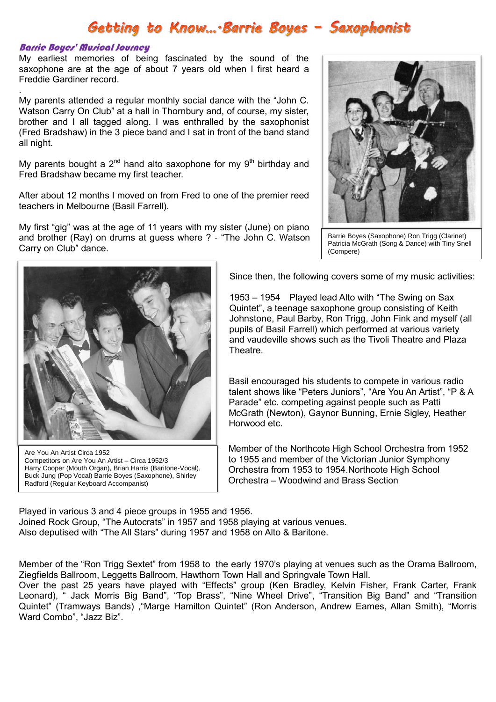## Getting to Know....Barrie Boyes - Saxophonist

## Barrie Boyes' Musical Journey

.

My earliest memories of being fascinated by the sound of the saxophone are at the age of about 7 years old when I first heard a Freddie Gardiner record.

My parents attended a regular monthly social dance with the "John C. Watson Carry On Club" at a hall in Thornbury and, of course, my sister, brother and I all tagged along. I was enthralled by the saxophonist (Fred Bradshaw) in the 3 piece band and I sat in front of the band stand all night.

My parents bought a  $2^{nd}$  hand alto saxophone for my  $9<sup>th</sup>$  birthday and Fred Bradshaw became my first teacher.

After about 12 months I moved on from Fred to one of the premier reed teachers in Melbourne (Basil Farrell).

My first "gig" was at the age of 11 years with my sister (June) on piano and brother (Ray) on drums at guess where ? - "The John C. Watson Carry on Club" dance.



Barrie Boyes (Saxophone) Ron Trigg (Clarinet) Patricia McGrath (Song & Dance) with Tiny Snell (Compere)



Are You An Artist Circa 1952 Competitors on Are You An Artist – Circa 1952/3 Harry Cooper (Mouth Organ), Brian Harris (Baritone-Vocal), Buck Jung (Pop Vocal) Barrie Boyes (Saxophone), Shirley Radford (Regular Keyboard Accompanist)

Since then, the following covers some of my music activities:

1953 – 1954 Played lead Alto with "The Swing on Sax Quintet", a teenage saxophone group consisting of Keith Johnstone, Paul Barby, Ron Trigg, John Fink and myself (all pupils of Basil Farrell) which performed at various variety and vaudeville shows such as the Tivoli Theatre and Plaza Theatre.

Basil encouraged his students to compete in various radio talent shows like "Peters Juniors", "Are You An Artist", "P & A Parade" etc. competing against people such as Patti McGrath (Newton), Gaynor Bunning, Ernie Sigley, Heather Horwood etc.

Member of the Northcote High School Orchestra from 1952 to 1955 and member of the Victorian Junior Symphony Orchestra from 1953 to 1954.Northcote High School Orchestra – Woodwind and Brass Section

Played in various 3 and 4 piece groups in 1955 and 1956. Joined Rock Group, "The Autocrats" in 1957 and 1958 playing at various venues. Also deputised with "The All Stars" during 1957 and 1958 on Alto & Baritone.

Member of the "Ron Trigg Sextet" from 1958 to the early 1970's playing at venues such as the Orama Ballroom, Ziegfields Ballroom, Leggetts Ballroom, Hawthorn Town Hall and Springvale Town Hall.

Over the past 25 years have played with "Effects" group (Ken Bradley, Kelvin Fisher, Frank Carter, Frank Leonard), " Jack Morris Big Band", "Top Brass", "Nine Wheel Drive", "Transition Big Band" and "Transition Quintet" (Tramways Bands) ,"Marge Hamilton Quintet" (Ron Anderson, Andrew Eames, Allan Smith), "Morris Ward Combo", "Jazz Biz".